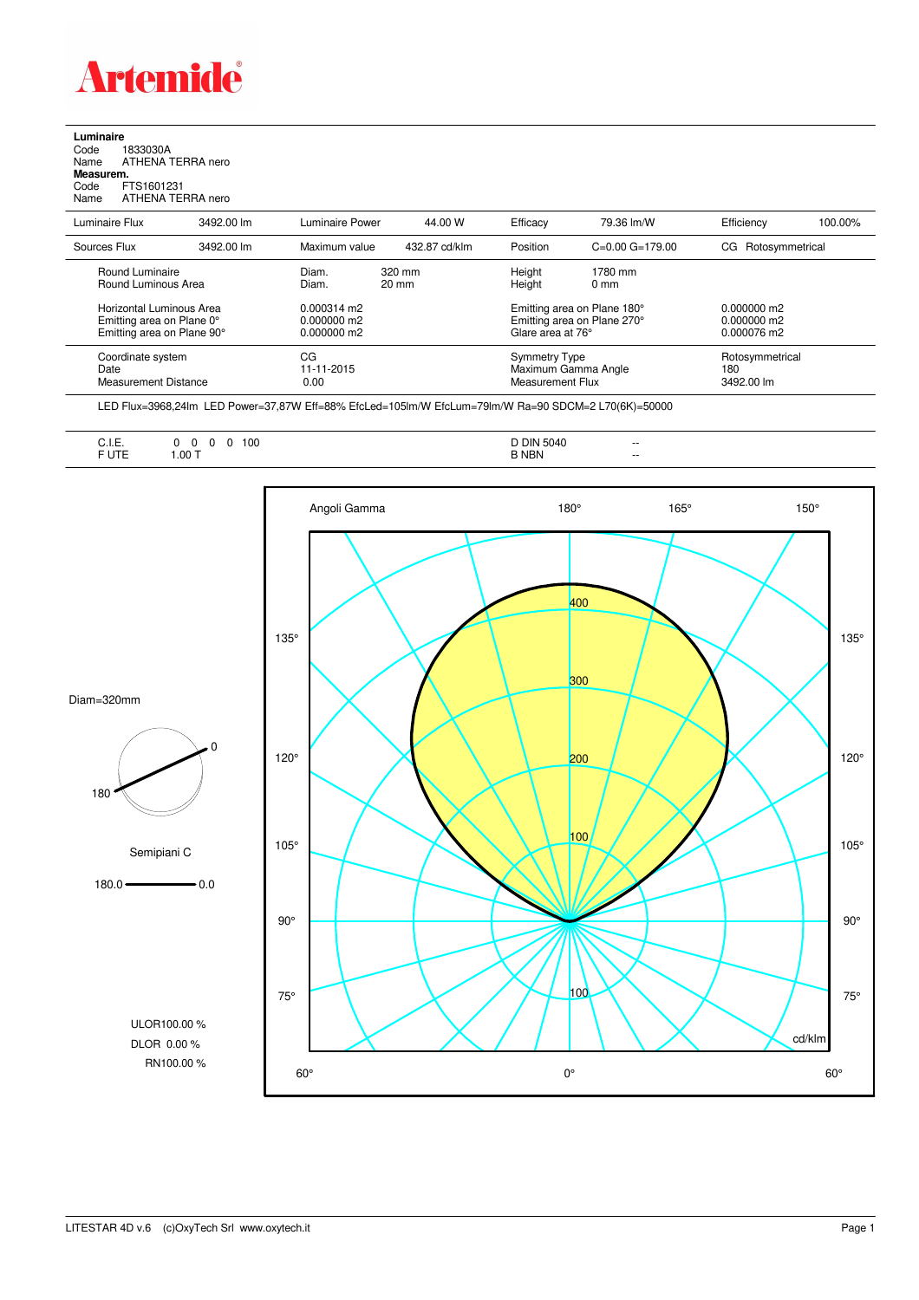

## **Luminaire**<br>Code 1<br>Name *P*

Code 1833030A Name ATHENA TERRA nero **Measurem.**

Code FTS1601231<br>Name ATHENA TEI ATHENA TERRA nero

| Luminaire Flux                                                                      | 3492.00 lm | Luminaire Power                                        | 44.00 W                   | Efficacy                                                                        | 79.36 lm/W                | Efficiency                                  | 100.00% |
|-------------------------------------------------------------------------------------|------------|--------------------------------------------------------|---------------------------|---------------------------------------------------------------------------------|---------------------------|---------------------------------------------|---------|
| Sources Flux                                                                        | 3492.00 lm | Maximum value                                          | 432.87 cd/klm             | Position                                                                        | $C=0.00$ $G=179.00$       | Rotosymmetrical<br>CG.                      |         |
| Round Luminaire<br>Round Luminous Area                                              |            | Diam.<br>Diam.                                         | 320 mm<br>$20 \text{ mm}$ | Height<br>Height                                                                | 1780 mm<br>$0 \text{ mm}$ |                                             |         |
| Horizontal Luminous Area<br>Emitting area on Plane 0°<br>Emitting area on Plane 90° |            | $0.000314 \text{ m}$<br>$0.000000$ m2<br>$0.000000$ m2 |                           | Emitting area on Plane 180°<br>Emitting area on Plane 270°<br>Glare area at 76° |                           | 0.000000 m2<br>$0.000000$ m2<br>0.000076 m2 |         |
| Coordinate system<br>Date<br>Measurement Distance                                   |            | CG<br>11-11-2015<br>0.00                               |                           | <b>Symmetry Type</b><br>Maximum Gamma Angle<br>Measurement Flux                 |                           | Rotosymmetrical<br>180<br>3492.00 lm        |         |

LED Flux=3968,24lm LED Power=37,87W Eff=88% EfcLed=105lm/W EfcLum=79lm/W Ra=90 SDCM=2 L70(6K)=50000